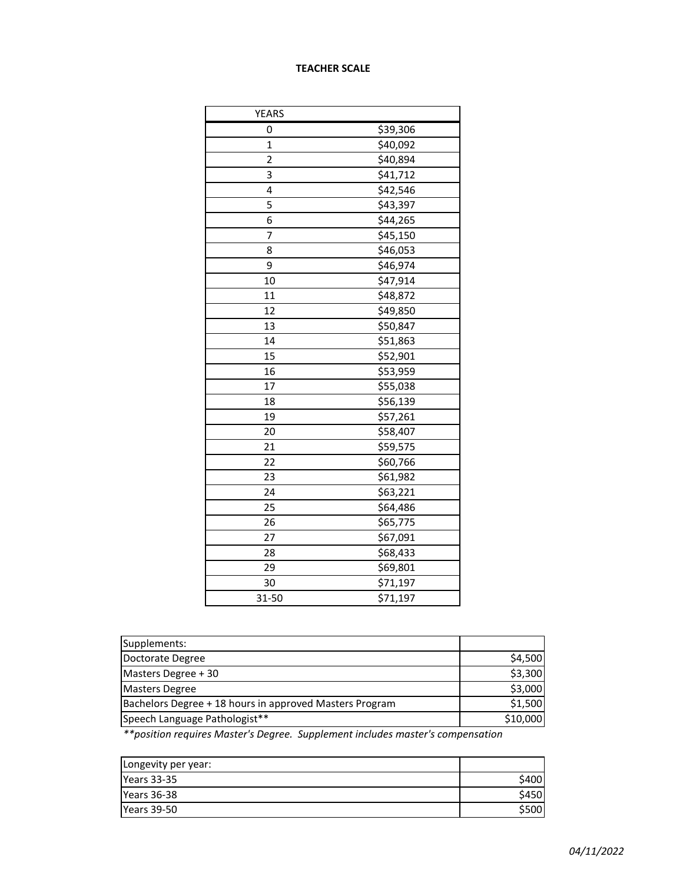## **TEACHER SCALE**

| <b>YEARS</b> |          |
|--------------|----------|
| 0            | \$39,306 |
| $\mathbf 1$  | \$40,092 |
| 2            | \$40,894 |
| 3            | \$41,712 |
| 4            | \$42,546 |
| 5            | \$43,397 |
| 6            | \$44,265 |
| 7            | \$45,150 |
| 8            | \$46,053 |
| 9            | \$46,974 |
| 10           | \$47,914 |
| 11           | \$48,872 |
| 12           | \$49,850 |
| 13           | \$50,847 |
| 14           | \$51,863 |
| 15           | \$52,901 |
| 16           | \$53,959 |
| 17           | \$55,038 |
| 18           | \$56,139 |
| 19           | \$57,261 |
| 20           | \$58,407 |
| 21           | \$59,575 |
| 22           | \$60,766 |
| 23           | \$61,982 |
| 24           | \$63,221 |
| 25           | \$64,486 |
| 26           | \$65,775 |
| 27           | \$67,091 |
| 28           | \$68,433 |
| 29           | \$69,801 |
| 30           | \$71,197 |
| 31-50        | \$71,197 |

| Supplements:                                            |          |
|---------------------------------------------------------|----------|
| Doctorate Degree                                        | \$4,500  |
| Masters Degree + 30                                     | \$3,300  |
| <b>Masters Degree</b>                                   | \$3,000  |
| Bachelors Degree + 18 hours in approved Masters Program | \$1,500  |
| Speech Language Pathologist**                           | \$10,000 |

*\*\*position requires Master's Degree. Supplement includes master's compensation*

| Longevity per year: |       |
|---------------------|-------|
| <b>Years 33-35</b>  | \$400 |
| Years 36-38         | \$450 |
| <b>Years 39-50</b>  | \$500 |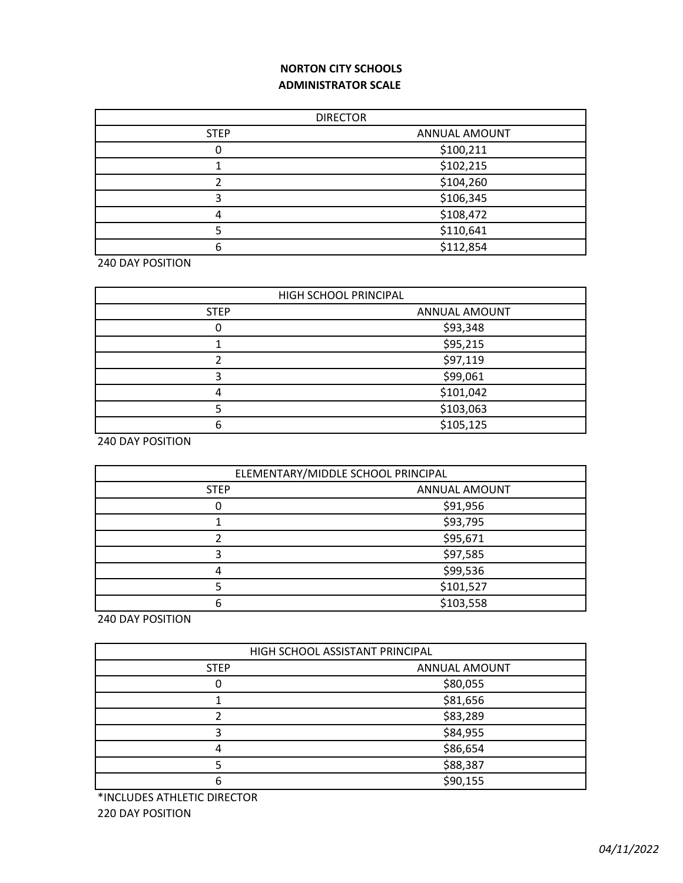# **NORTON CITY SCHOOLS ADMINISTRATOR SCALE**

| <b>DIRECTOR</b> |               |
|-----------------|---------------|
| <b>STEP</b>     | ANNUAL AMOUNT |
|                 | \$100,211     |
|                 | \$102,215     |
|                 | \$104,260     |
|                 | \$106,345     |
| Δ               | \$108,472     |
|                 | \$110,641     |
| 6               | \$112,854     |

240 DAY POSITION

| HIGH SCHOOL PRINCIPAL |               |
|-----------------------|---------------|
| <b>STEP</b>           | ANNUAL AMOUNT |
|                       | \$93,348      |
|                       | \$95,215      |
|                       | \$97,119      |
|                       | \$99,061      |
|                       | \$101,042     |
|                       | \$103,063     |
| h                     | \$105,125     |

240 DAY POSITION

| ELEMENTARY/MIDDLE SCHOOL PRINCIPAL |               |
|------------------------------------|---------------|
| <b>STEP</b>                        | ANNUAL AMOUNT |
|                                    | \$91,956      |
|                                    | \$93,795      |
|                                    | \$95,671      |
|                                    | \$97,585      |
|                                    | \$99,536      |
|                                    | \$101,527     |
| 6                                  | \$103,558     |

240 DAY POSITION

| HIGH SCHOOL ASSISTANT PRINCIPAL |               |
|---------------------------------|---------------|
| <b>STEP</b>                     | ANNUAL AMOUNT |
| 0                               | \$80,055      |
|                                 | \$81,656      |
|                                 | \$83,289      |
| 3                               | \$84,955      |
| 4                               | \$86,654      |
|                                 | \$88,387      |
| 6                               | \$90,155      |

\*INCLUDES ATHLETIC DIRECTOR

220 DAY POSITION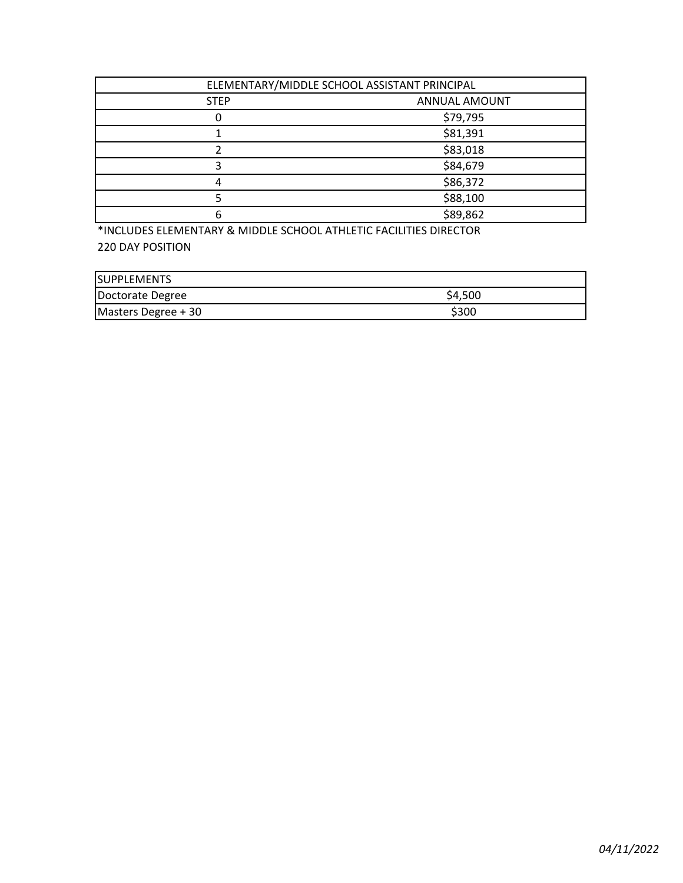| ELEMENTARY/MIDDLE SCHOOL ASSISTANT PRINCIPAL |               |
|----------------------------------------------|---------------|
| <b>STEP</b>                                  | ANNUAL AMOUNT |
|                                              | \$79,795      |
|                                              | \$81,391      |
|                                              | \$83,018      |
|                                              | \$84,679      |
| 4                                            | \$86,372      |
|                                              | \$88,100      |
| 6                                            | \$89,862      |

\*INCLUDES ELEMENTARY & MIDDLE SCHOOL ATHLETIC FACILITIES DIRECTOR 220 DAY POSITION

| <b>SUPPLEMENTS</b>  |         |
|---------------------|---------|
| Doctorate Degree    | \$4,500 |
| Masters Degree + 30 | \$300   |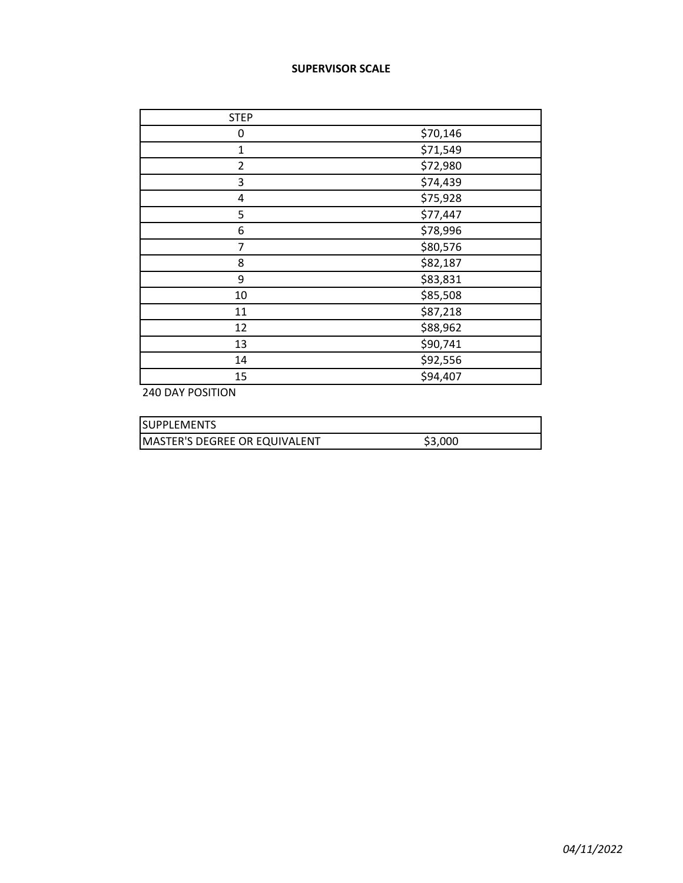### **SUPERVISOR SCALE**

| <b>STEP</b>    |          |
|----------------|----------|
| 0              | \$70,146 |
| $\overline{1}$ | \$71,549 |
| $\overline{2}$ | \$72,980 |
| 3              | \$74,439 |
| 4              | \$75,928 |
| 5              | \$77,447 |
| 6              | \$78,996 |
| 7              | \$80,576 |
| 8              | \$82,187 |
| 9              | \$83,831 |
| 10             | \$85,508 |
| 11             | \$87,218 |
| 12             | \$88,962 |
| 13             | \$90,741 |
| 14             | \$92,556 |
| 15             | \$94,407 |

240 DAY POSITION

| <b>ISUPPLEMENTS</b>                  |         |
|--------------------------------------|---------|
| <b>MASTER'S DEGREE OR EQUIVALENT</b> | \$3,000 |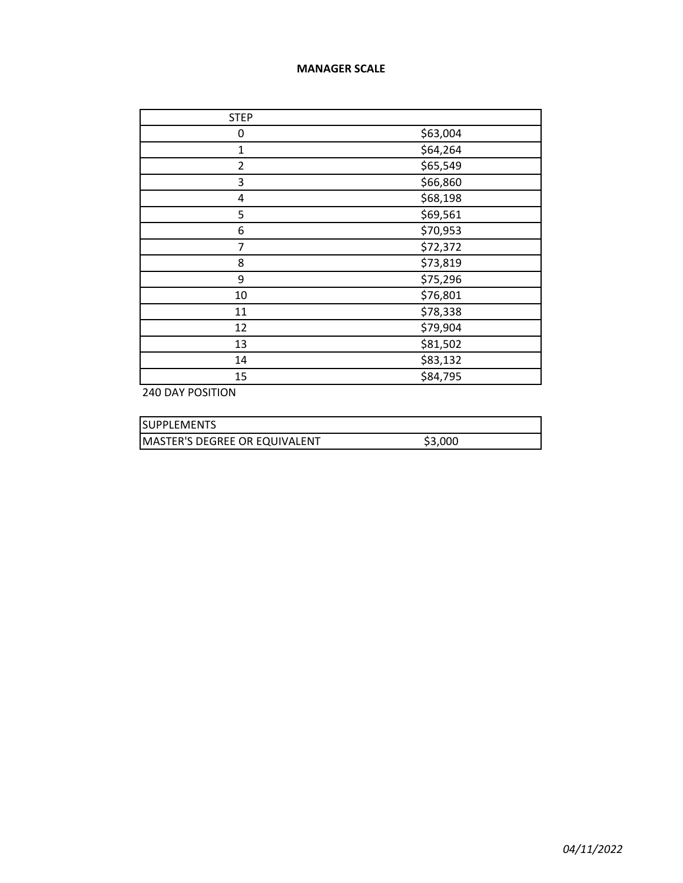### **MANAGER SCALE**

| <b>STEP</b>    |          |
|----------------|----------|
| 0              | \$63,004 |
| $\mathbf{1}$   | \$64,264 |
| $\overline{2}$ | \$65,549 |
| 3              | \$66,860 |
| 4              | \$68,198 |
| 5              | \$69,561 |
| 6              | \$70,953 |
| 7              | \$72,372 |
| 8              | \$73,819 |
| 9              | \$75,296 |
| 10             | \$76,801 |
| 11             | \$78,338 |
| 12             | \$79,904 |
| 13             | \$81,502 |
| 14             | \$83,132 |
| 15             | \$84,795 |

240 DAY POSITION

| <b>ISUPPLEMENTS</b>                  |         |
|--------------------------------------|---------|
| <b>MASTER'S DEGREE OR EQUIVALENT</b> | \$3,000 |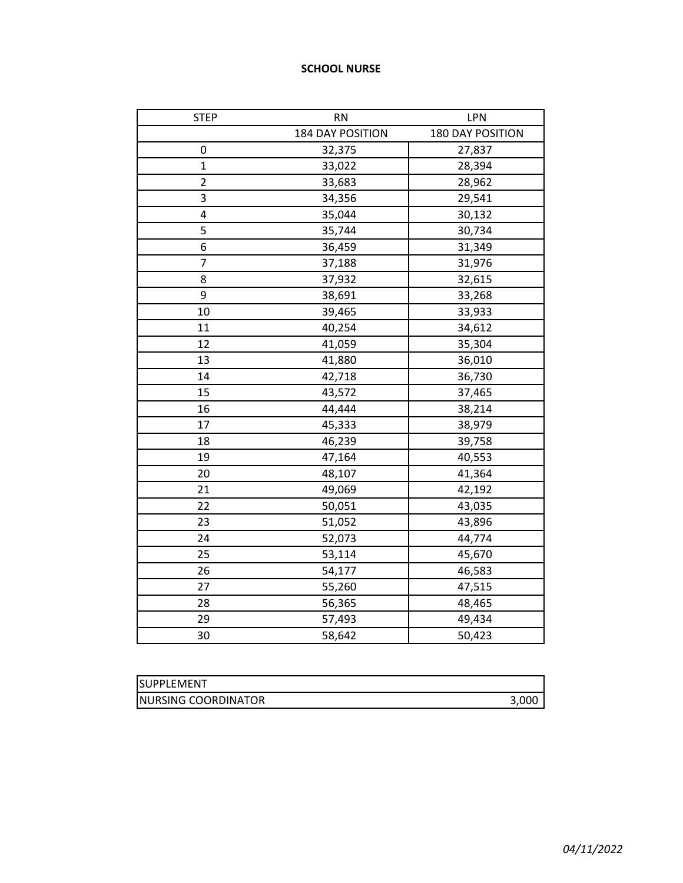### **SCHOOL NURSE**

| <b>STEP</b>    | <b>RN</b>        | LPN              |
|----------------|------------------|------------------|
|                | 184 DAY POSITION | 180 DAY POSITION |
| 0              | 32,375           | 27,837           |
| $\mathbf{1}$   | 33,022           | 28,394           |
| $\overline{c}$ | 33,683           | 28,962           |
| 3              | 34,356           | 29,541           |
| 4              | 35,044           | 30,132           |
| 5              | 35,744           | 30,734           |
| 6              | 36,459           | 31,349           |
| $\overline{7}$ | 37,188           | 31,976           |
| 8              | 37,932           | 32,615           |
| 9              | 38,691           | 33,268           |
| 10             | 39,465           | 33,933           |
| 11             | 40,254           | 34,612           |
| 12             | 41,059           | 35,304           |
| 13             | 41,880           | 36,010           |
| 14             | 42,718           | 36,730           |
| 15             | 43,572           | 37,465           |
| 16             | 44,444           | 38,214           |
| 17             | 45,333           | 38,979           |
| 18             | 46,239           | 39,758           |
| 19             | 47,164           | 40,553           |
| 20             | 48,107           | 41,364           |
| 21             | 49,069           | 42,192           |
| 22             | 50,051           | 43,035           |
| 23             | 51,052           | 43,896           |
| 24             | 52,073           | 44,774           |
| 25             | 53,114           | 45,670           |
| 26             | 54,177           | 46,583           |
| 27             | 55,260           | 47,515           |
| 28             | 56,365           | 48,465           |
| 29             | 57,493           | 49,434           |
| 30             | 58,642           | 50,423           |

| <b>ISUPPLEMENT</b>   |       |
|----------------------|-------|
| INURSING COORDINATOR | 3.000 |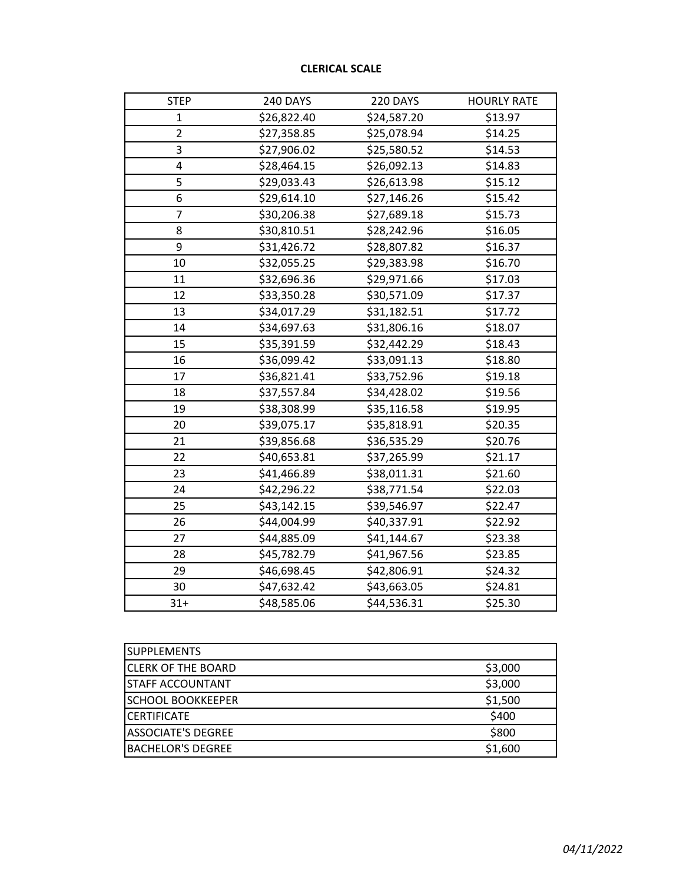# **CLERICAL SCALE**

| <b>STEP</b>    | 240 DAYS    | 220 DAYS    | <b>HOURLY RATE</b> |
|----------------|-------------|-------------|--------------------|
| $\mathbf{1}$   | \$26,822.40 | \$24,587.20 | \$13.97            |
| $\overline{2}$ | \$27,358.85 | \$25,078.94 | \$14.25            |
| 3              | \$27,906.02 | \$25,580.52 | \$14.53            |
| 4              | \$28,464.15 | \$26,092.13 | \$14.83            |
| 5              | \$29,033.43 | \$26,613.98 | \$15.12            |
| 6              | \$29,614.10 | \$27,146.26 | \$15.42            |
| 7              | \$30,206.38 | \$27,689.18 | \$15.73            |
| 8              | \$30,810.51 | \$28,242.96 | \$16.05            |
| 9              | \$31,426.72 | \$28,807.82 | \$16.37            |
| 10             | \$32,055.25 | \$29,383.98 | \$16.70            |
| 11             | \$32,696.36 | \$29,971.66 | \$17.03            |
| 12             | \$33,350.28 | \$30,571.09 | \$17.37            |
| 13             | \$34,017.29 | \$31,182.51 | \$17.72            |
| 14             | \$34,697.63 | \$31,806.16 | \$18.07            |
| 15             | \$35,391.59 | \$32,442.29 | \$18.43            |
| 16             | \$36,099.42 | \$33,091.13 | \$18.80            |
| 17             | \$36,821.41 | \$33,752.96 | \$19.18            |
| 18             | \$37,557.84 | \$34,428.02 | \$19.56            |
| 19             | \$38,308.99 | \$35,116.58 | \$19.95            |
| 20             | \$39,075.17 | \$35,818.91 | \$20.35            |
| 21             | \$39,856.68 | \$36,535.29 | \$20.76            |
| 22             | \$40,653.81 | \$37,265.99 | \$21.17            |
| 23             | \$41,466.89 | \$38,011.31 | \$21.60            |
| 24             | \$42,296.22 | \$38,771.54 | \$22.03            |
| 25             | \$43,142.15 | \$39,546.97 | \$22.47            |
| 26             | \$44,004.99 | \$40,337.91 | \$22.92            |
| 27             | \$44,885.09 | \$41,144.67 | \$23.38            |
| 28             | \$45,782.79 | \$41,967.56 | \$23.85            |
| 29             | \$46,698.45 | \$42,806.91 | \$24.32            |
| 30             | \$47,632.42 | \$43,663.05 | \$24.81            |
| $31+$          | \$48,585.06 | \$44,536.31 | \$25.30            |

| <b>SUPPLEMENTS</b>        |         |
|---------------------------|---------|
| <b>CLERK OF THE BOARD</b> | \$3,000 |
| <b>STAFF ACCOUNTANT</b>   | \$3,000 |
| <b>SCHOOL BOOKKEEPER</b>  | \$1,500 |
| <b>CERTIFICATE</b>        | \$400   |
| <b>ASSOCIATE'S DEGREE</b> | \$800   |
| <b>BACHELOR'S DEGREE</b>  | \$1,600 |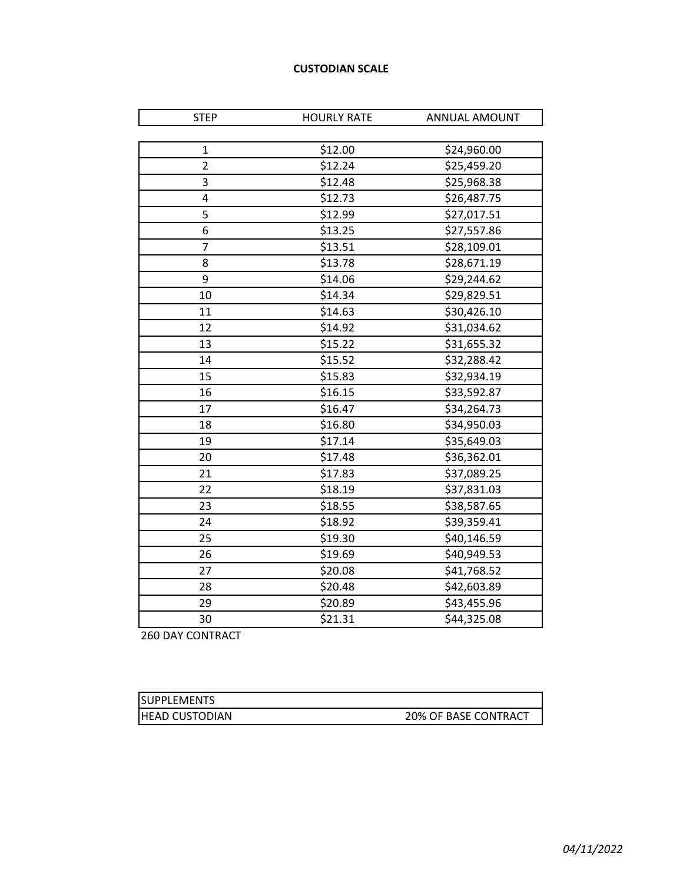### **CUSTODIAN SCALE**

| <b>STEP</b>    | <b>HOURLY RATE</b> | ANNUAL AMOUNT |
|----------------|--------------------|---------------|
|                |                    |               |
| $\mathbf{1}$   | \$12.00            | \$24,960.00   |
| $\overline{2}$ | \$12.24            | \$25,459.20   |
| 3              | \$12.48            | \$25,968.38   |
| 4              | \$12.73            | \$26,487.75   |
| 5              | \$12.99            | \$27,017.51   |
| 6              | \$13.25            | \$27,557.86   |
| 7              | \$13.51            | \$28,109.01   |
| 8              | \$13.78            | \$28,671.19   |
| 9              | \$14.06            | \$29,244.62   |
| 10             | \$14.34            | \$29,829.51   |
| 11             | \$14.63            | \$30,426.10   |
| 12             | \$14.92            | \$31,034.62   |
| 13             | \$15.22            | \$31,655.32   |
| 14             | \$15.52            | \$32,288.42   |
| 15             | \$15.83            | \$32,934.19   |
| 16             | \$16.15            | \$33,592.87   |
| 17             | \$16.47            | \$34,264.73   |
| 18             | \$16.80            | \$34,950.03   |
| 19             | \$17.14            | \$35,649.03   |
| 20             | \$17.48            | \$36,362.01   |
| 21             | \$17.83            | \$37,089.25   |
| 22             | \$18.19            | \$37,831.03   |
| 23             | \$18.55            | \$38,587.65   |
| 24             | \$18.92            | \$39,359.41   |
| 25             | \$19.30            | \$40,146.59   |
| 26             | \$19.69            | \$40,949.53   |
| 27             | \$20.08            | \$41,768.52   |
| 28             | \$20.48            | \$42,603.89   |
| 29             | \$20.89            | \$43,455.96   |
| 30             | \$21.31            | \$44,325.08   |

260 DAY CONTRACT

| <b>ISUPPLEMENTS</b>    |                      |
|------------------------|----------------------|
| <b>IHEAD CUSTODIAN</b> | 20% OF BASE CONTRACT |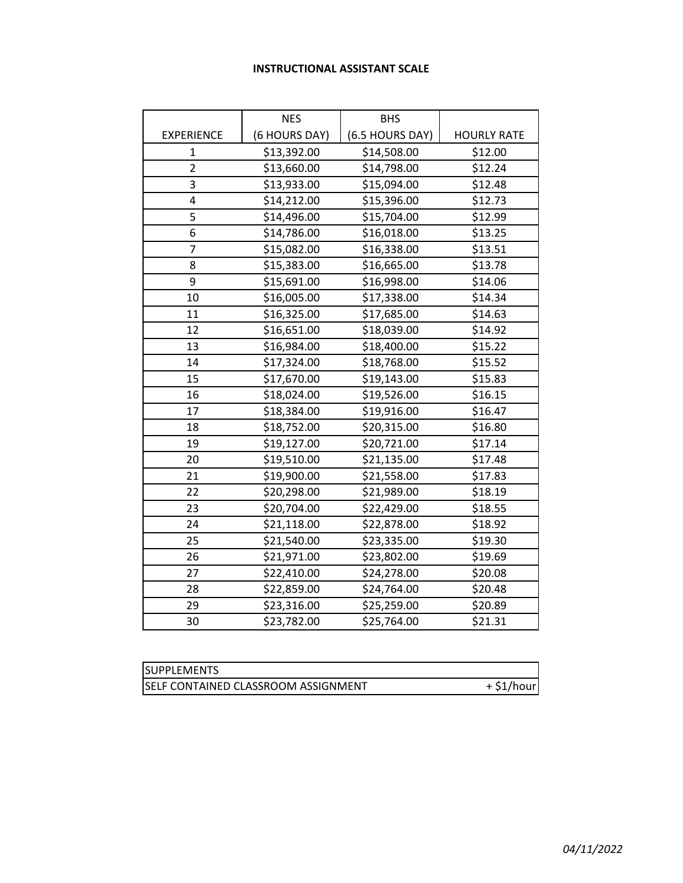### **INSTRUCTIONAL ASSISTANT SCALE**

|                   | <b>NES</b>    | <b>BHS</b>      |                    |
|-------------------|---------------|-----------------|--------------------|
| <b>EXPERIENCE</b> | (6 HOURS DAY) | (6.5 HOURS DAY) | <b>HOURLY RATE</b> |
| 1                 | \$13,392.00   | \$14,508.00     | \$12.00            |
| $\overline{2}$    | \$13,660.00   | \$14,798.00     | \$12.24            |
| 3                 | \$13,933.00   | \$15,094.00     | \$12.48            |
| 4                 | \$14,212.00   | \$15,396.00     | \$12.73            |
| 5                 | \$14,496.00   | \$15,704.00     | \$12.99            |
| 6                 | \$14,786.00   | \$16,018.00     | \$13.25            |
| 7                 | \$15,082.00   | \$16,338.00     | \$13.51            |
| 8                 | \$15,383.00   | \$16,665.00     | \$13.78            |
| 9                 | \$15,691.00   | \$16,998.00     | \$14.06            |
| 10                | \$16,005.00   | \$17,338.00     | \$14.34            |
| 11                | \$16,325.00   | \$17,685.00     | \$14.63            |
| 12                | \$16,651.00   | \$18,039.00     | \$14.92            |
| 13                | \$16,984.00   | \$18,400.00     | \$15.22            |
| 14                | \$17,324.00   | \$18,768.00     | \$15.52            |
| 15                | \$17,670.00   | \$19,143.00     | \$15.83            |
| 16                | \$18,024.00   | \$19,526.00     | \$16.15            |
| 17                | \$18,384.00   | \$19,916.00     | \$16.47            |
| 18                | \$18,752.00   | \$20,315.00     | \$16.80            |
| 19                | \$19,127.00   | \$20,721.00     | \$17.14            |
| 20                | \$19,510.00   | \$21,135.00     | \$17.48            |
| 21                | \$19,900.00   | \$21,558.00     | \$17.83            |
| 22                | \$20,298.00   | \$21,989.00     | \$18.19            |
| 23                | \$20,704.00   | \$22,429.00     | \$18.55            |
| 24                | \$21,118.00   | \$22,878.00     | \$18.92            |
| 25                | \$21,540.00   | \$23,335.00     | \$19.30            |
| 26                | \$21,971.00   | \$23,802.00     | \$19.69            |
| 27                | \$22,410.00   | \$24,278.00     | \$20.08            |
| 28                | \$22,859.00   | \$24,764.00     | \$20.48            |
| 29                | \$23,316.00   | \$25,259.00     | \$20.89            |
| 30                | \$23,782.00   | \$25,764.00     | \$21.31            |

| <b>SUPPLEMENTS</b>                  |              |
|-------------------------------------|--------------|
| SELF CONTAINED CLASSROOM ASSIGNMENT | $+$ \$1/hour |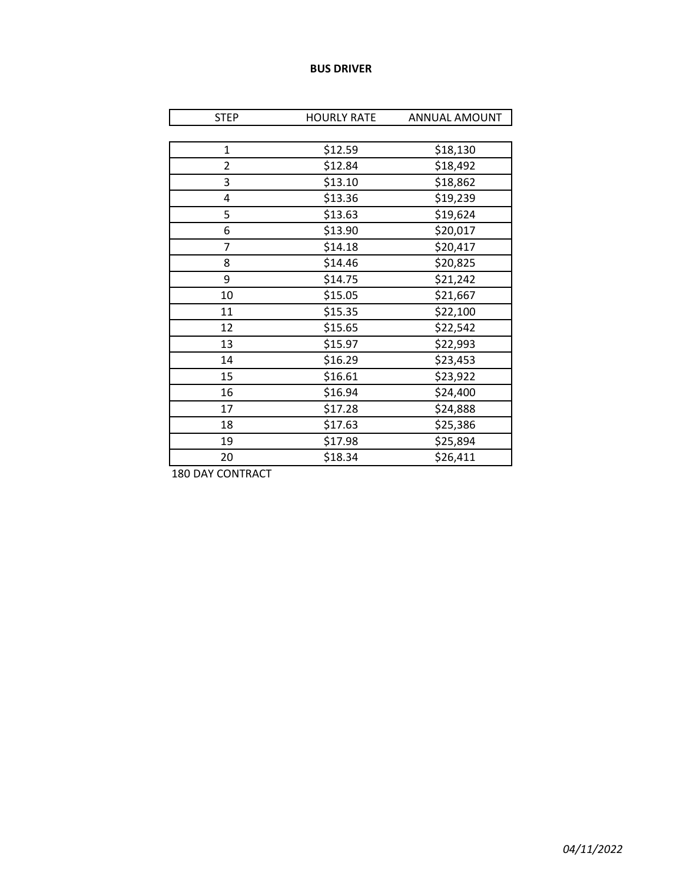#### **BUS DRIVER**

| <b>STEP</b>    | <b>HOURLY RATE</b> | ANNUAL AMOUNT |
|----------------|--------------------|---------------|
|                |                    |               |
| $\mathbf{1}$   | \$12.59            | \$18,130      |
| $\overline{2}$ | \$12.84            | \$18,492      |
| 3              | \$13.10            | \$18,862      |
| 4              | \$13.36            | \$19,239      |
| 5              | \$13.63            | \$19,624      |
| 6              | \$13.90            | \$20,017      |
| $\overline{7}$ | \$14.18            | \$20,417      |
| 8              | \$14.46            | \$20,825      |
| 9              | \$14.75            | \$21,242      |
| 10             | \$15.05            | \$21,667      |
| 11             | \$15.35            | \$22,100      |
| 12             | \$15.65            | \$22,542      |
| 13             | \$15.97            | \$22,993      |
| 14             | \$16.29            | \$23,453      |
| 15             | \$16.61            | \$23,922      |
| 16             | \$16.94            | \$24,400      |
| 17             | \$17.28            | \$24,888      |
| 18             | \$17.63            | \$25,386      |
| 19             | \$17.98            | \$25,894      |
| 20             | \$18.34            | \$26,411      |

180 DAY CONTRACT